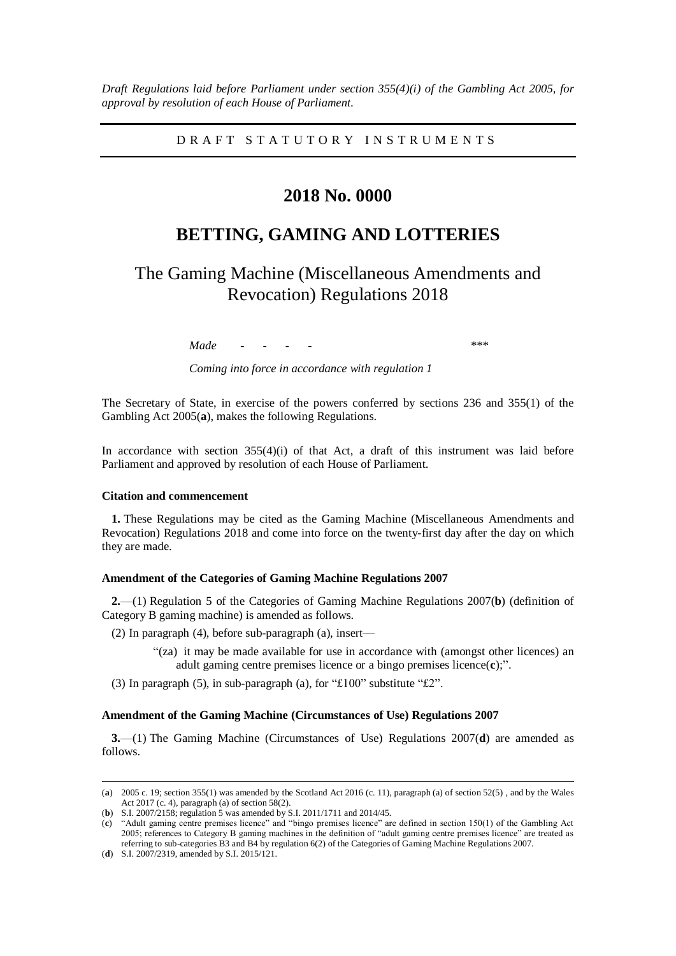*Draft Regulations laid before Parliament under section 355(4)(i) of the Gambling Act 2005, for approval by resolution of each House of Parliament.*

D R A F T S T A T U T O R Y I N S T R U M E N T S

## **2018 No. 0000**

# **BETTING, GAMING AND LOTTERIES**

The Gaming Machine (Miscellaneous Amendments and Revocation) Regulations 2018

*Made - - - - \*\*\**

*Coming into force in accordance with regulation 1*

The Secretary of State, in exercise of the powers conferred by sections 236 and 355(1) of the Gambling Act 2005(**a**), makes the following Regulations.

In accordance with section  $355(4)(i)$  of that Act, a draft of this instrument was laid before Parliament and approved by resolution of each House of Parliament.

#### **Citation and commencement**

**1.** These Regulations may be cited as the Gaming Machine (Miscellaneous Amendments and Revocation) Regulations 2018 and come into force on the twenty-first day after the day on which they are made.

#### **Amendment of the Categories of Gaming Machine Regulations 2007**

**2.**—(1) Regulation 5 of the Categories of Gaming Machine Regulations 2007(**b**) (definition of Category B gaming machine) is amended as follows.

(2) In paragraph (4), before sub-paragraph (a), insert—

"(za) it may be made available for use in accordance with (amongst other licences) an adult gaming centre premises licence or a bingo premises licence(**c**);".

(3) In paragraph (5), in sub-paragraph (a), for "£100" substitute "£2".

#### **Amendment of the Gaming Machine (Circumstances of Use) Regulations 2007**

**3.**—(1) The Gaming Machine (Circumstances of Use) Regulations 2007(**d**) are amended as follows.

 $\overline{a}$ 

<sup>(</sup>**a**) 2005 c. 19; section 355(1) was amended by the Scotland Act 2016 (c. 11), paragraph (a) of section 52(5) , and by the Wales Act 2017 (c. 4), paragraph (a) of section  $58(2)$ .

<sup>(</sup>**b**) S.I. 2007/2158; regulation 5 was amended by S.I. 2011/1711 and 2014/45.

<sup>(</sup>**c**) "Adult gaming centre premises licence" and "bingo premises licence" are defined in section 150(1) of the Gambling Act 2005; references to Category B gaming machines in the definition of "adult gaming centre premises licence" are treated as referring to sub-categories B3 and B4 by regulation 6(2) of the Categories of Gaming Machine Regulations 2007.

<sup>(</sup>**d**) S.I. 2007/2319, amended by S.I. 2015/121.